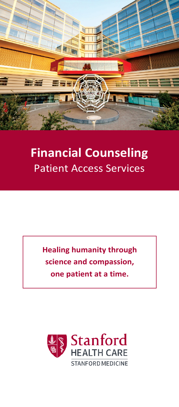

## **Financial Counseling** Patient Access Services

**Healing humanity through science and compassion, one patient at a time.**

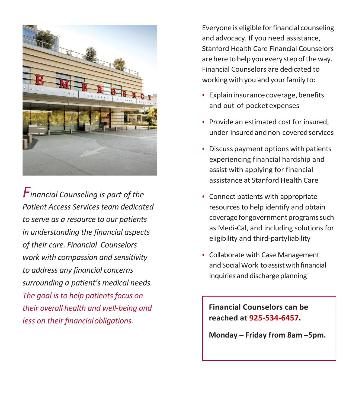

*Financial Counseling is part of the Patient Access Services team dedicated to serve as a resource to our patients in understanding the financial aspects of their care. Financial Counselors work with compassion and sensitivity to address any financial concerns surrounding a patient's medical needs. The goal is to help patients focus on their overall health and well-being and less on their financialobligations.*

Everyone is eligible for financial counseling and advocacy. If you need assistance, Stanford Health Care Financial Counselors are here to help you every step of the way. Financial Counselors are dedicated to working with you and your family to:

- Explain insurance coverage, benefits and out-of-pocket expenses
- Provide an estimated cost for insured, under-insuredandnon-coveredservices
- Discuss payment options with patients experiencing financial hardship and assist with applying for financial assistance at Stanford Health Care
- Connect patients with appropriate resources to help identify and obtain coverage for government programs such as Medi-Cal, and including solutions for eligibility and third-partyliability
- Collaborate with Case Management and Social Work to assist with financial inquiries and discharge planning

**Financial Counselors can be reached at 925-534-6457.**

**Monday – Friday from 8am –5pm.**